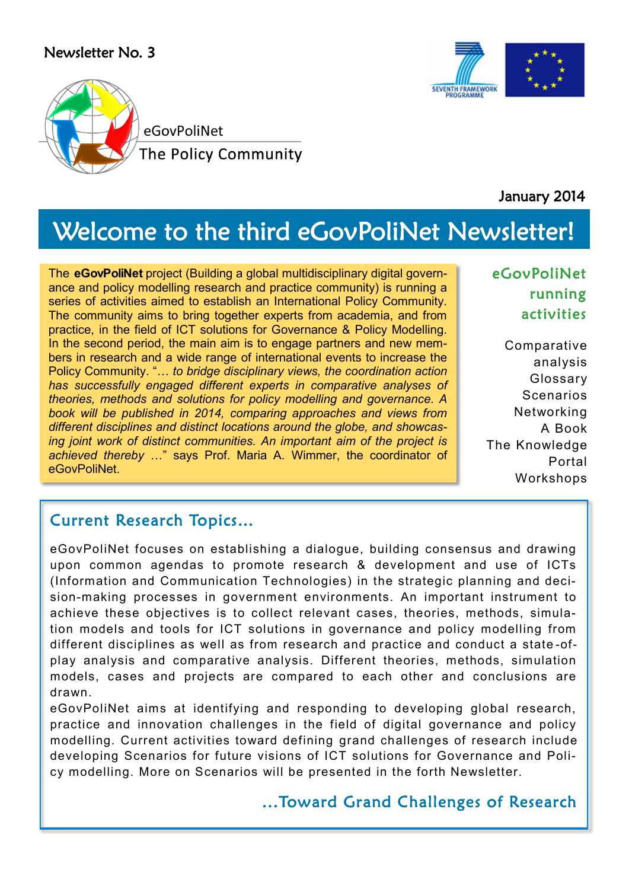#### Newsletter No. 3





January 2014

# Welcome to the third eGovPoliNet Newsletter!

The **eGovPoliNet** project (Building a global multidisciplinary digital governance and policy modelling research and practice community) is running a series of activities aimed to establish an International Policy Community. The community aims to bring together experts from academia, and from practice, in the field of ICT solutions for Governance & Policy Modelling. In the second period, the main aim is to engage partners and new members in research and a wide range of international events to increase the Policy Community. "… *to bridge disciplinary views, the coordination action has successfully engaged different experts in comparative analyses of theories, methods and solutions for policy modelling and governance. A book will be published in 2014, comparing approaches and views from different disciplines and distinct locations around the globe, and showcasing joint work of distinct communities. An important aim of the project is achieved thereby* …" says Prof. Maria A. Wimmer, the coordinator of eGovPoliNet.

### eGovPoliNet running activities

Comparative analysis Glossary **Scenarios** Networking A Book The Knowledge Portal Workshops

### Current Research Topics…

eGovPoliNet focuses on establishing a dialogue, building consensus and drawing upon common agendas to promote research & development and use of ICTs (Information and Communication Technologies) in the strategic planning and decision-making processes in government environments. An important instrument to achieve these objectives is to collect relevant cases, theories, methods, simulation models and tools for ICT solutions in governance and policy modelling from different disciplines as well as from research and practice and conduct a state -ofplay analysis and comparative analysis. Different theories, methods, simulation models, cases and projects are compared to each other and conclusions are drawn.

eGovPoliNet aims at identifying and responding to developing global research, practice and innovation challenges in the field of digital governance and policy modelling. Current activities toward defining grand challenges of research include developing Scenarios for future visions of ICT solutions for Governance and Policy modelling. More on Scenarios will be presented in the forth Newsletter.

#### ...Toward Grand Challenges of Research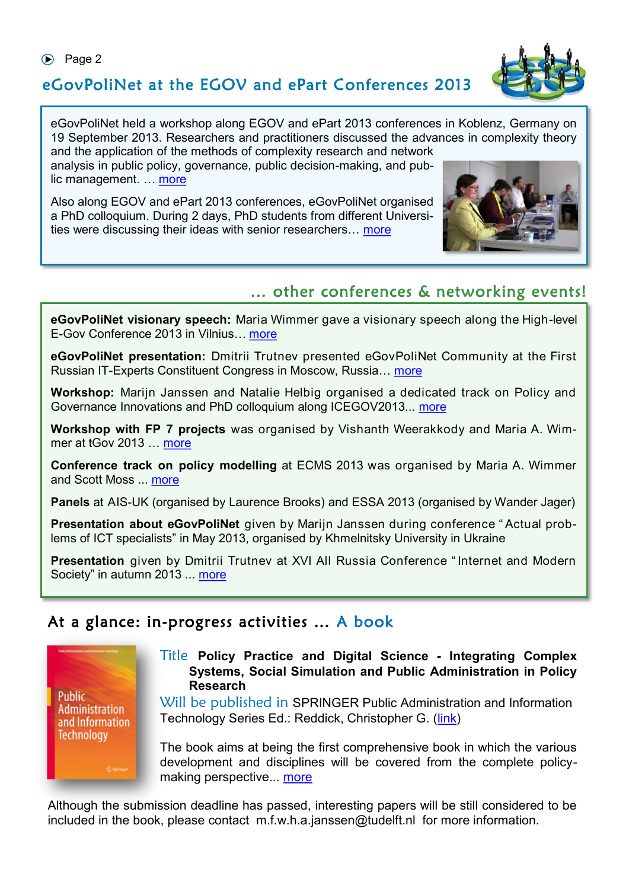## eGovPoliNet at the EGOV and ePart Conferences 2013

eGovPoliNet held a workshop along EGOV and ePart 2013 conferences in Koblenz, Germany on 19 September 2013. Researchers and practitioners discussed the advances in complexity theory and the application of the methods of complexity research and network

analysis in public policy, governance, public decision-making, and public management. … [more](http://www.policy-community.eu/news-events/events/events-repository/egovpolinet-workshop-egov-and-epart-conferences)

Also along EGOV and ePart 2013 conferences, eGovPoliNet organised a PhD colloquium. During 2 days, PhD students from different Universities were discussing their ideas with senior researchers… [more](http://www.policy-community.eu/news-events/events/events-repository/phd-colloquium-along-egov-and-epart-2013)

## … other conferences & networking events!

**eGovPoliNet visionary speech:** Maria Wimmer gave a visionary speech along the High-level E-Gov Conference 2013 in Vilnius… [more](http://www.policy-community.eu/news-events/events/events-repository/a-visionary-speech-along-the-high-level-e-gov-conference-2013)

**eGovPoliNet presentation:** Dmitrii Trutnev presented eGovPoliNet Community at the First Russian IT-Experts Constituent Congress in Moscow, Russia… [more](http://www.policy-community.eu/news-events/events/events-repository/egovpolinet-presentation-at-first-all-russia-congress-of-it-experts)

**Workshop:** Marijn Janssen and Natalie Helbig organised a dedicated track on Policy and Governance Innovations and PhD colloquium along ICEGOV2013... [more](http://www.policy-community.eu/news-events/events/events-repository/policy-and-governance-innovations-track-along-icegov2013-conference)

**Workshop with FP 7 projects** was organised by Vishanth Weerakkody and Maria A. Wimmer at tGov 2013 … [more](http://www.policy-community.eu/news-events/events/events-repository/egovpolinet-workshop-at-tgov-2013)

**Conference track on policy modelling** at ECMS 2013 was organised by Maria A. Wimmer and Scott Moss ... [more](http://www.policy-community.eu/news-events/events/events-repository/ecms-2013-track-policy-modelling)

**Panels** at AIS-UK (organised by Laurence Brooks) and ESSA 2013 (organised by Wander Jager)

**Presentation about eGovPoliNet** given by Marijn Janssen during conference " Actual problems of ICT specialists" in May 2013, organised by Khmelnitsky University in Ukraine

**Presentation** given by Dmitrii Trutnev at XVI All Russia Conference " Internet and Modern Society" in autumn 2013 ... [more](http://www.policy-community.eu/news-events/events/events-repository/egovpolinet-presentation-at-xvi-all-russia-conference-internet-and-modern-society)

### At a glance: in-progress activities … A book



Title **Policy Practice and Digital Science - Integrating Complex Systems, Social Simulation and Public Administration in Policy Research**

Will be published in SPRINGER Public Administration and Information Technology Series Ed.: Reddick, Christopher G. (*link*)

The book aims at being the first comprehensive book in which the various development and disciplines will be covered from the complete policymaking perspective... [more](http://www.policy-community.eu/news-events/news/news-repository/book-policy-practice-and-digital-science-integrating-complex-systems-social-simulation-and-public-administration-in-policy-research)

Although the submission deadline has passed, interesting papers will be still considered to be included in the book, please contact m.f.w.h.a.janssen@tudelft.nl for more information.



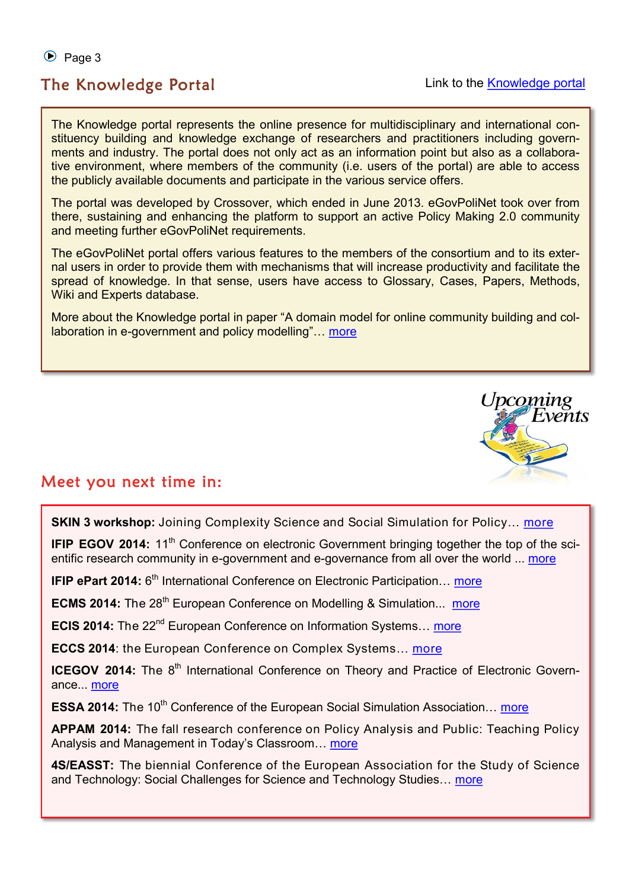$\odot$  Page 3

#### The Knowledge Portal and Communication Control Link to the [Knowledge portal](http://195.251.218.39/crossover_platform/)

The Knowledge portal represents the online presence for multidisciplinary and international constituency building and knowledge exchange of researchers and practitioners including governments and industry. The portal does not only act as an information point but also as a collaborative environment, where members of the community (i.e. users of the portal) are able to access the publicly available documents and participate in the various service offers.

The portal was developed by Crossover, which ended in June 2013. eGovPoliNet took over from there, sustaining and enhancing the platform to support an active Policy Making 2.0 community and meeting further eGovPoliNet requirements.

The eGovPoliNet portal offers various features to the members of the consortium and to its external users in order to provide them with mechanisms that will increase productivity and facilitate the spread of knowledge. In that sense, users have access to Glossary, Cases, Papers, Methods, Wiki and Experts database.

More about the Knowledge portal in paper "A domain model for online community building and collaboration in e-government and policy modelling"… [more](http://www.policy-community.eu/results/papers/a-domain-model-for-online-community-building-and-collaboration-in-egovernment-and-policy-modelling)



#### Meet you next time in:

**SKIN 3 workshop:** Joining Complexity Science and Social Simulation for Policy... [more](http://cress.soc.surrey.ac.uk/SKIN/events/third-skin-workshop)

**IFIP EGOV 2014:** 11<sup>th</sup> Conference on electronic Government bringing together the top of the scientific research community in e-government and e-governance from all over the world ... [more](http://www.egov-conference.org/egov-2012-home)

**IFIP ePart 2014:** 6<sup>th</sup> International Conference on Electronic Participation... [more](http://www.epart-conference.org/?goback=.gmp_4165795.gde_4165795_member_5824470348116025345#!)

**ECMS 2014:** The 28<sup>th</sup> European Conference on Modelling & Simulation... [more](http://www.eco.unibs.it/ecms/)

**ECIS 2014:** The 22<sup>nd</sup> European Conference on Information Systems... [more](http://ecis2014.eu/#!)

**ECCS 2014:** the European Conference on Complex Systems... [more](http://www.eccs13.eu/)

**ICEGOV 2014:** The 8<sup>th</sup> International Conference on Theory and Practice of Electronic Governance... [more](http://icegov.org/)

**ESSA 2014:** The 10<sup>th</sup> Conference of the European Social Simulation Association... [more](http://www.essa2014.eu/)

**APPAM 2014:** The fall research conference on Policy Analysis and Public: Teaching Policy Analysis and Management in Today's Classroom… [more](http://www.appam.org/events/spring-conference/2014/)

**4S/EASST:** The biennial Conference of the European Association for the Study of Science and Technology: Social Challenges for Science and Technology Studies… [more](http://www.easst.umk.pl/)